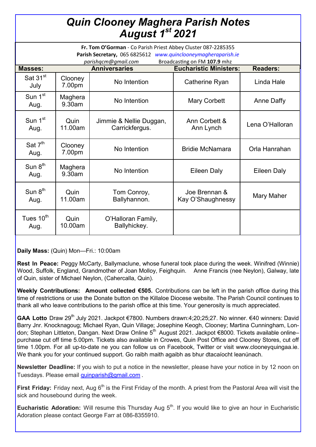## *Quin Clooney Maghera Parish Notes August 1st 2021*

| Fr. Tom O'Gorman - Co Parish Priest Abbey Cluster 087-2285355<br>Parish Secretary, 065 6825612 www.quinclooneymagheraparish.ie |                   |                                           |                                    |                    |
|--------------------------------------------------------------------------------------------------------------------------------|-------------------|-------------------------------------------|------------------------------------|--------------------|
| Broadcasting on FM 107.9 mhz<br>parishqcm@gmail.com                                                                            |                   |                                           |                                    |                    |
| <b>Masses:</b>                                                                                                                 |                   | <b>Anniversaries</b>                      | <b>Eucharistic Ministers:</b>      | <b>Readers:</b>    |
| Sat $31st$<br>July                                                                                                             | Clooney<br>7.00pm | No Intention                              | Catherine Ryan                     | Linda Hale         |
| Sun 1 <sup>st</sup><br>Aug.                                                                                                    | Maghera<br>9.30am | No Intention                              | <b>Mary Corbett</b>                | <b>Anne Daffy</b>  |
| Sun 1 <sup>st</sup><br>Aug.                                                                                                    | Quin<br>11.00am   | Jimmie & Nellie Duggan,<br>Carrickfergus. | Ann Corbett &<br>Ann Lynch         | Lena O'Halloran    |
| Sat $7th$<br>Aug.                                                                                                              | Clooney<br>7.00pm | No Intention                              | <b>Bridie McNamara</b>             | Orla Hanrahan      |
| Sun $8th$<br>Aug.                                                                                                              | Maghera<br>9.30am | No Intention                              | Eileen Daly                        | <b>Eileen Daly</b> |
| Sun $8th$<br>Aug.                                                                                                              | Quin<br>11.00am   | Tom Conroy,<br>Ballyhannon.               | Joe Brennan &<br>Kay O'Shaughnessy | Mary Maher         |
| Tues 10 <sup>th</sup><br>Aug.                                                                                                  | Quin<br>10.00am   | O'Halloran Family,<br>Ballyhickey.        |                                    |                    |

**Daily Mass:** (Quin) Mon—Fri.: 10:00am

**Rest In Peace:** Peggy McCarty, Ballymaclune, whose funeral took place during the week. Winifred (Winnie) Wood, Suffolk, England, Grandmother of Joan Molloy, Feighquin. Anne Francis (nee Neylon), Galway, late of Quin, sister of Michael Neylon, (Cahercalla, Quin).

**Weekly Contributions: Amount collected €505.** Contributions can be left in the parish office during this time of restrictions or use the Donate button on the Killaloe Diocese website. The Parish Council continues to thank all who leave contributions to the parish office at this time. Your generosity is much appreciated.

GAA Lotto Draw 29<sup>th</sup> July 2021. Jackpot €7800. Numbers drawn:4;20;25;27. No winner. €40 winners: David Barry Jnr. Knocknagoug; Michael Ryan, Quin Village; Josephine Keogh, Clooney; Martina Cunningham, London; Stephan Littleton, Dangan. Next Draw Online 5<sup>th</sup> August 2021. Jackpot €8000. Tickets available online– purchase cut off time 5.00pm. Tickets also available in Crowes, Quin Post Office and Clooney Stores, cut off time 1.00pm. For all up-to-date ne you can follow us on Facebook, Twitter or visit www.clooneyquingaa.ie. We thank you for your continued support. Go raibh maith agaibh as bhur dtacaíocht leanúnach.

**Newsletter Deadline:** If you wish to put a notice in the newsletter, please have your notice in by 12 noon on Tuesdays. Please email [quinparish@gmail.com](mailto:quinparish@gmail.com).

**First Friday:** Friday next, Aug 6<sup>th</sup> is the First Friday of the month. A priest from the Pastoral Area will visit the sick and housebound during the week.

**Eucharistic Adoration:** Will resume this Thursday Aug 5<sup>th</sup>. If you would like to give an hour in Eucharistic Adoration please contact George Farr at 086-8355910.